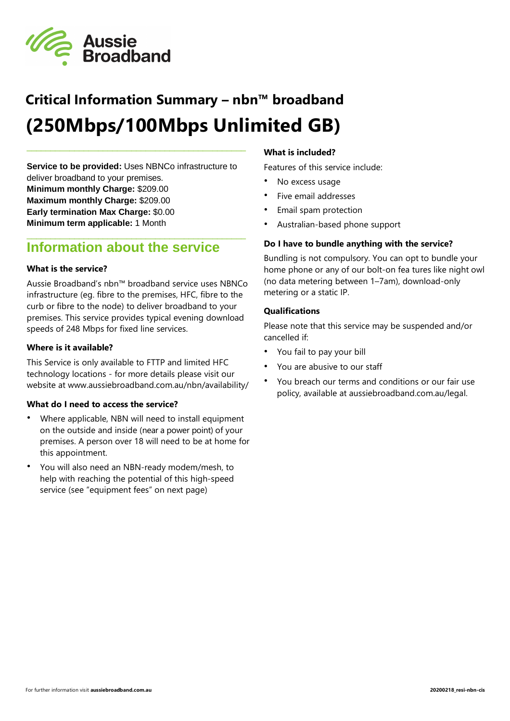

# **Critical Information Summary – nbn™ broadband (250Mbps/100Mbps Unlimited GB)**

**Service to be provided:** Uses NBNCo infrastructure to deliver broadband to your premises. **Minimum monthly Charge:** \$209.00 **Maximum monthly Charge:** \$209.00 **Early termination Max Charge:** \$0.00 **Minimum term applicable:** 1 Month

\_\_\_\_\_\_\_\_\_\_\_\_\_\_\_\_\_\_\_\_\_\_\_\_\_\_\_\_\_\_\_\_\_\_\_\_\_\_\_\_\_\_\_\_\_\_

### **Information about the service**

#### **What is the service?**

Aussie Broadband's nbn™ broadband service uses NBNCo infrastructure (eg. fibre to the premises, HFC, fibre to the curb or fibre to the node) to deliver broadband to your premises. This service provides typical evening download speeds of 248 Mbps for fixed line services.

\_\_\_\_\_\_\_\_\_\_\_\_\_\_\_\_\_\_\_\_\_\_\_\_\_\_\_\_\_\_\_\_\_\_\_\_\_\_\_\_\_\_\_\_\_\_

#### **Where is it available?**

This Service is only available to FTTP and limited HFC technology locations - for more details please visit our website at www.aussiebroadband.com.au/nbn/availability/

#### **What do I need to access the service?**

- Where applicable, NBN will need to install equipment on the outside and inside (near a power point) of your premises. A person over 18 will need to be at home for this appointment.
- You will also need an NBN-ready modem/mesh, to help with reaching the potential of this high-speed service (see "equipment fees" on next page)

#### **What is included?**

Features of this service include:

- No excess usage
- Five email addresses
- Email spam protection
- Australian-based phone support

#### **Do I have to bundle anything with the service?**

Bundling is not compulsory. You can opt to bundle your home phone or any of our bolt-on fea tures like night owl (no data metering between 1–7am), download-only metering or a static IP.

#### **Qualifications**

Please note that this service may be suspended and/or cancelled if:

- You fail to pay your bill
- You are abusive to our staff
- You breach our terms and conditions or our fair use policy, available at aussiebroadband.com.au/legal.